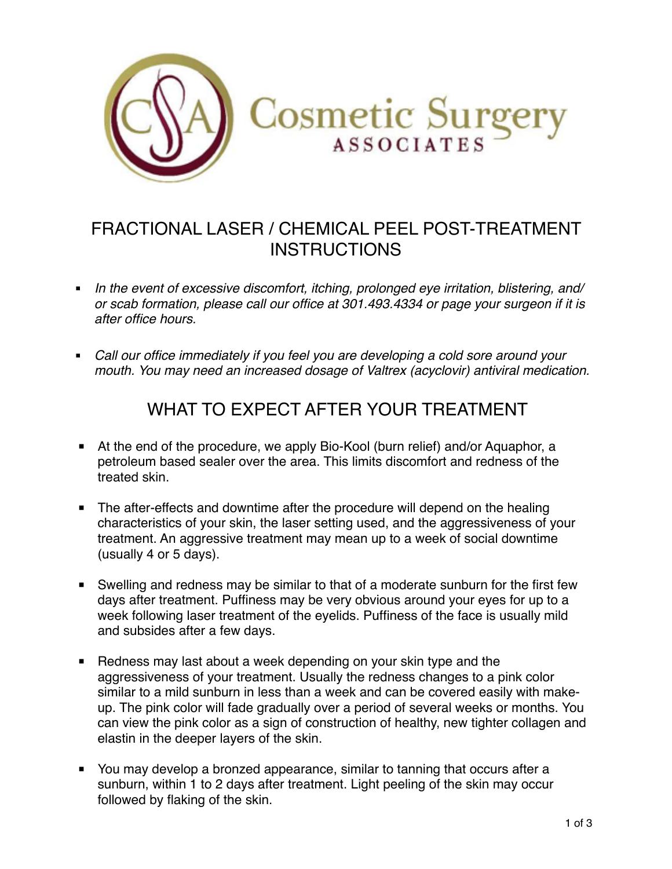

# FRACTIONAL LASER / CHEMICAL PEEL POST-TREATMENT **INSTRUCTIONS**

- § *In the event of excessive discomfort, itching, prolonged eye irritation, blistering, and/ or scab formation, please call our office at 301.493.4334 or page your surgeon if it is after office hours.*
- Call our office immediately if you feel you are developing a cold sore around your *mouth. You may need an increased dosage of Valtrex (acyclovir) antiviral medication.*

## WHAT TO EXPECT AFTER YOUR TREATMENT

- At the end of the procedure, we apply Bio-Kool (burn relief) and/or Aquaphor, a petroleum based sealer over the area. This limits discomfort and redness of the treated skin.
- The after-effects and downtime after the procedure will depend on the healing characteristics of your skin, the laser setting used, and the aggressiveness of your treatment. An aggressive treatment may mean up to a week of social downtime (usually 4 or 5 days).
- Swelling and redness may be similar to that of a moderate sunburn for the first few days after treatment. Puffiness may be very obvious around your eyes for up to a week following laser treatment of the eyelids. Puffiness of the face is usually mild and subsides after a few days.
- Redness may last about a week depending on your skin type and the aggressiveness of your treatment. Usually the redness changes to a pink color similar to a mild sunburn in less than a week and can be covered easily with makeup. The pink color will fade gradually over a period of several weeks or months. You can view the pink color as a sign of construction of healthy, new tighter collagen and elastin in the deeper layers of the skin.
- You may develop a bronzed appearance, similar to tanning that occurs after a sunburn, within 1 to 2 days after treatment. Light peeling of the skin may occur followed by flaking of the skin.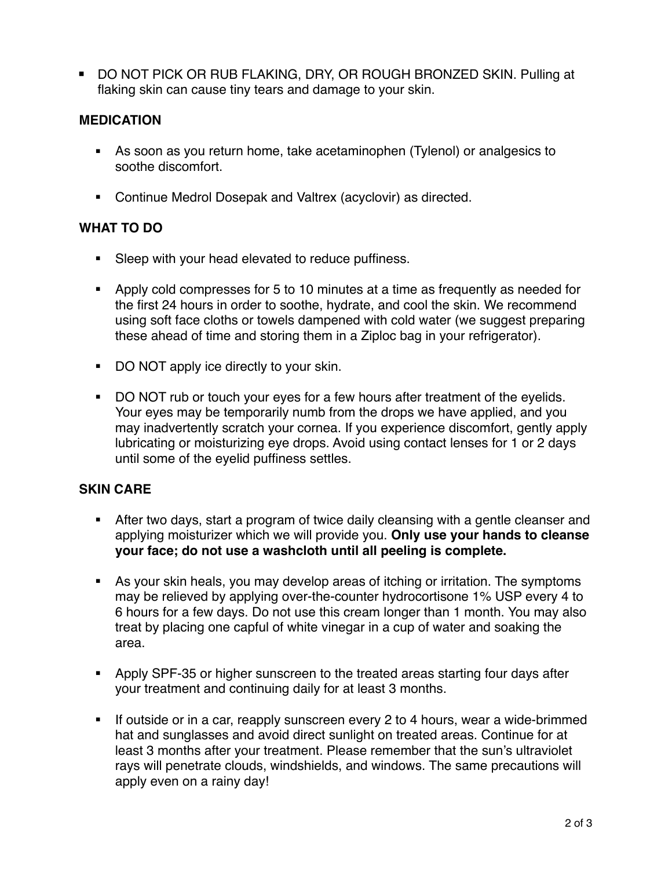■ DO NOT PICK OR RUB FLAKING, DRY, OR ROUGH BRONZED SKIN. Pulling at flaking skin can cause tiny tears and damage to your skin.

#### **MEDICATION**

- As soon as you return home, take acetaminophen (Tylenol) or analgesics to soothe discomfort.
- Continue Medrol Dosepak and Valtrex (acyclovir) as directed.

#### **WHAT TO DO**

- Sleep with your head elevated to reduce puffiness.
- § Apply cold compresses for 5 to 10 minutes at a time as frequently as needed for the first 24 hours in order to soothe, hydrate, and cool the skin. We recommend using soft face cloths or towels dampened with cold water (we suggest preparing these ahead of time and storing them in a Ziploc bag in your refrigerator).
- DO NOT apply ice directly to your skin.
- DO NOT rub or touch your eyes for a few hours after treatment of the eyelids. Your eyes may be temporarily numb from the drops we have applied, and you may inadvertently scratch your cornea. If you experience discomfort, gently apply lubricating or moisturizing eye drops. Avoid using contact lenses for 1 or 2 days until some of the eyelid puffiness settles.

#### **SKIN CARE**

- After two days, start a program of twice daily cleansing with a gentle cleanser and applying moisturizer which we will provide you. **Only use your hands to cleanse your face; do not use a washcloth until all peeling is complete.**
- As your skin heals, you may develop areas of itching or irritation. The symptoms may be relieved by applying over-the-counter hydrocortisone 1% USP every 4 to 6 hours for a few days. Do not use this cream longer than 1 month. You may also treat by placing one capful of white vinegar in a cup of water and soaking the area.
- § Apply SPF-35 or higher sunscreen to the treated areas starting four days after your treatment and continuing daily for at least 3 months.
- If outside or in a car, reapply sunscreen every 2 to 4 hours, wear a wide-brimmed hat and sunglasses and avoid direct sunlight on treated areas. Continue for at least 3 months after your treatment. Please remember that the sun's ultraviolet rays will penetrate clouds, windshields, and windows. The same precautions will apply even on a rainy day!